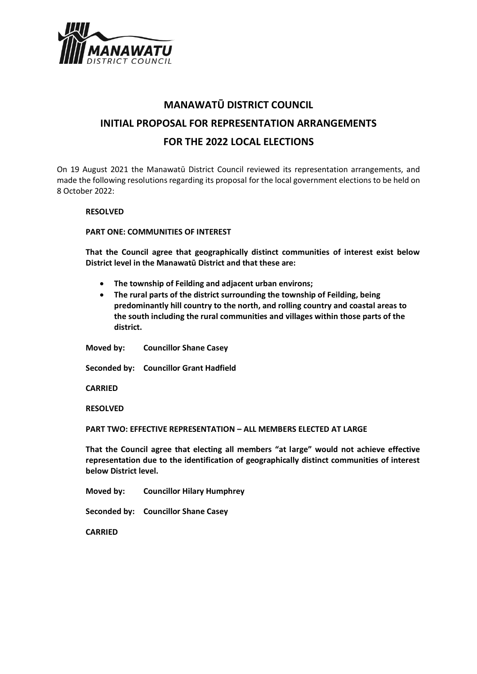

# **MANAWATŪ DISTRICT COUNCIL INITIAL PROPOSAL FOR REPRESENTATION ARRANGEMENTS FOR THE 2022 LOCAL ELECTIONS**

On 19 August 2021 the Manawatū District Council reviewed its representation arrangements, and made the following resolutions regarding its proposal for the local government elections to be held on 8 October 2022:

#### **RESOLVED**

## **PART ONE: COMMUNITIES OF INTEREST**

**That the Council agree that geographically distinct communities of interest exist below District level in the Manawatū District and that these are:**

- **The township of Feilding and adjacent urban environs;**
- **The rural parts of the district surrounding the township of Feilding, being predominantly hill country to the north, and rolling country and coastal areas to the south including the rural communities and villages within those parts of the district.**

**Moved by: Councillor Shane Casey**

**Seconded by: Councillor Grant Hadfield**

**CARRIED**

**RESOLVED**

**PART TWO: EFFECTIVE REPRESENTATION – ALL MEMBERS ELECTED AT LARGE**

**That the Council agree that electing all members "at large" would not achieve effective representation due to the identification of geographically distinct communities of interest below District level.** 

**Moved by: Councillor Hilary Humphrey**

**Seconded by: Councillor Shane Casey**

**CARRIED**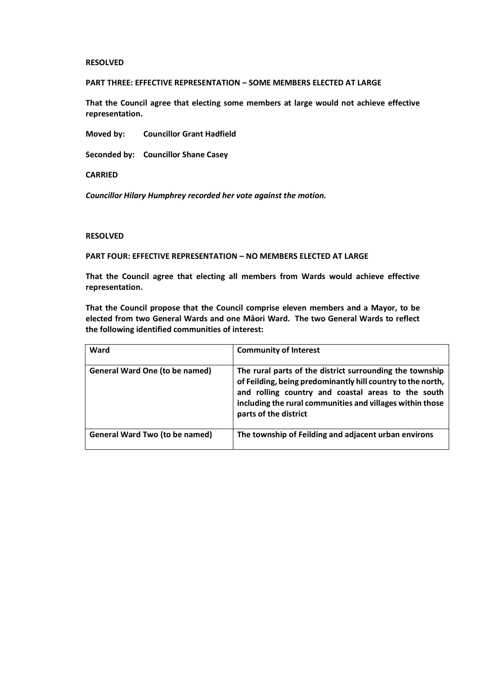#### **RESOLVED**

#### **PART THREE: EFFECTIVE REPRESENTATION – SOME MEMBERS ELECTED AT LARGE**

**That the Council agree that electing some members at large would not achieve effective representation.**

**Moved by: Councillor Grant Hadfield**

**Seconded by: Councillor Shane Casey**

**CARRIED**

*Councillor Hilary Humphrey recorded her vote against the motion.* 

#### **RESOLVED**

**PART FOUR: EFFECTIVE REPRESENTATION – NO MEMBERS ELECTED AT LARGE**

**That the Council agree that electing all members from Wards would achieve effective representation.**

**That the Council propose that the Council comprise eleven members and a Mayor, to be elected from two General Wards and one Māori Ward. The two General Wards to reflect the following identified communities of interest:**

| Ward                                  | <b>Community of Interest</b>                                                                                                                                                                                                                                        |
|---------------------------------------|---------------------------------------------------------------------------------------------------------------------------------------------------------------------------------------------------------------------------------------------------------------------|
| <b>General Ward One (to be named)</b> | The rural parts of the district surrounding the township<br>of Feilding, being predominantly hill country to the north,<br>and rolling country and coastal areas to the south<br>including the rural communities and villages within those<br>parts of the district |
| <b>General Ward Two (to be named)</b> | The township of Feilding and adjacent urban environs                                                                                                                                                                                                                |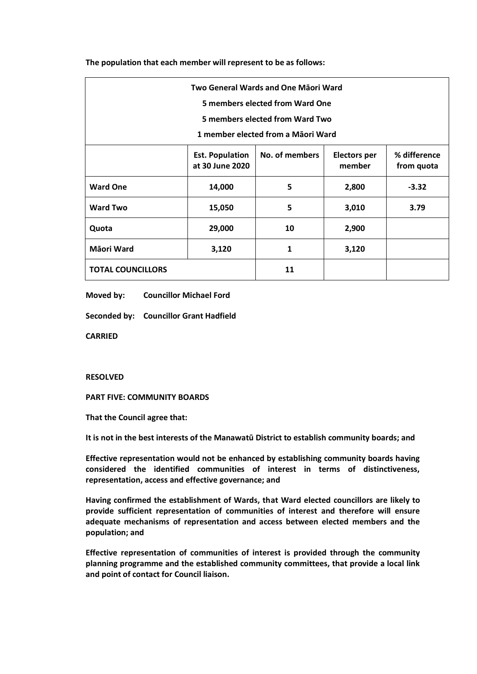| Two General Wards and One Maori Ward |                                           |                |                               |                            |  |
|--------------------------------------|-------------------------------------------|----------------|-------------------------------|----------------------------|--|
| 5 members elected from Ward One      |                                           |                |                               |                            |  |
| 5 members elected from Ward Two      |                                           |                |                               |                            |  |
| 1 member elected from a Māori Ward   |                                           |                |                               |                            |  |
|                                      | <b>Est. Population</b><br>at 30 June 2020 | No. of members | <b>Electors per</b><br>member | % difference<br>from quota |  |
| <b>Ward One</b>                      | 14,000                                    | 5              | 2,800                         | $-3.32$                    |  |
| <b>Ward Two</b>                      | 15,050                                    | 5              | 3,010                         | 3.79                       |  |
| Quota                                | 29,000                                    | 10             | 2,900                         |                            |  |
| Māori Ward                           | 3,120                                     | 1              | 3,120                         |                            |  |
| <b>TOTAL COUNCILLORS</b>             |                                           | 11             |                               |                            |  |

**The population that each member will represent to be as follows:**

**Moved by: Councillor Michael Ford**

**Seconded by: Councillor Grant Hadfield**

**CARRIED**

#### **RESOLVED**

**PART FIVE: COMMUNITY BOARDS**

**That the Council agree that:**

**It is not in the best interests of the Manawatū District to establish community boards; and** 

**Effective representation would not be enhanced by establishing community boards having considered the identified communities of interest in terms of distinctiveness, representation, access and effective governance; and**

**Having confirmed the establishment of Wards, that Ward elected councillors are likely to provide sufficient representation of communities of interest and therefore will ensure adequate mechanisms of representation and access between elected members and the population; and** 

**Effective representation of communities of interest is provided through the community planning programme and the established community committees, that provide a local link and point of contact for Council liaison.**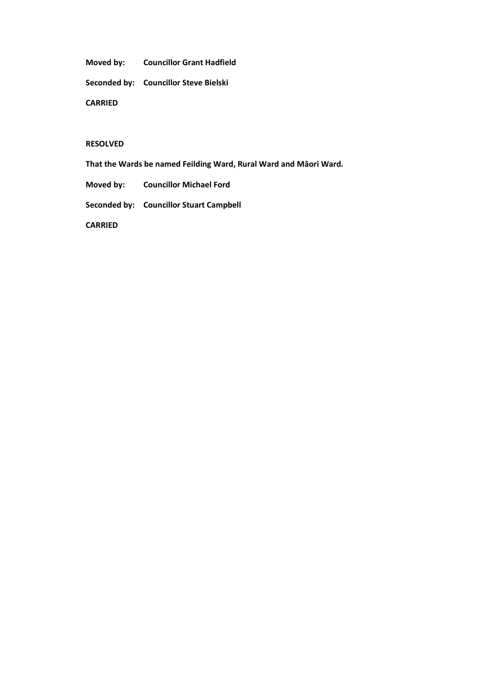**Moved by: Councillor Grant Hadfield**

**Seconded by: Councillor Steve Bielski**

**CARRIED**

## **RESOLVED**

**That the Wards be named Feilding Ward, Rural Ward and Māori Ward.**

**Moved by: Councillor Michael Ford**

**Seconded by: Councillor Stuart Campbell**

**CARRIED**